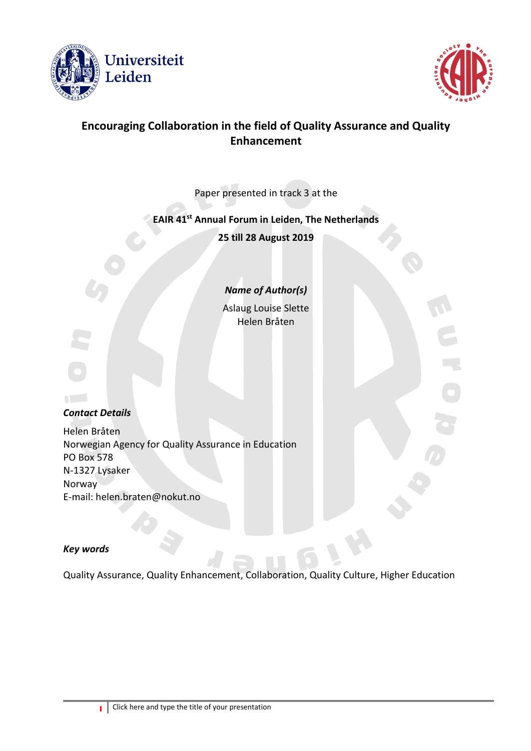



# **Encouraging Collaboration in the field of Quality Assurance and Quality Enhancement**

Paper presented in track 3 at the

## **EAIR 41 st Annual Forum in Leiden, The Netherlands**

**25 till 28 August 2019**

## *Name of Author(s)*

Aslaug Louise Slette Helen Bråten

**ATTACK** 

#### *Contact Details*

Helen Bråten Norwegian Agency for Quality Assurance in Education PO Box 578 N-1327 Lysaker Norway E-mail: helen.braten@nokut.no

#### *Key words*

Quality Assurance, Quality Enhancement, Collaboration, Quality Culture, Higher Education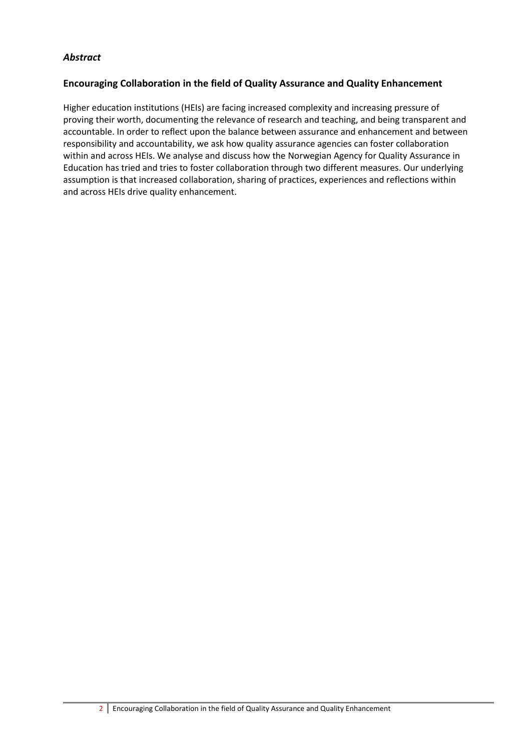## *Abstract*

### **Encouraging Collaboration in the field of Quality Assurance and Quality Enhancement**

Higher education institutions (HEIs) are facing increased complexity and increasing pressure of proving their worth, documenting the relevance of research and teaching, and being transparent and accountable. In order to reflect upon the balance between assurance and enhancement and between responsibility and accountability, we ask how quality assurance agencies can foster collaboration within and across HEIs. We analyse and discuss how the Norwegian Agency for Quality Assurance in Education has tried and tries to foster collaboration through two different measures. Our underlying assumption is that increased collaboration, sharing of practices, experiences and reflections within and across HEIs drive quality enhancement.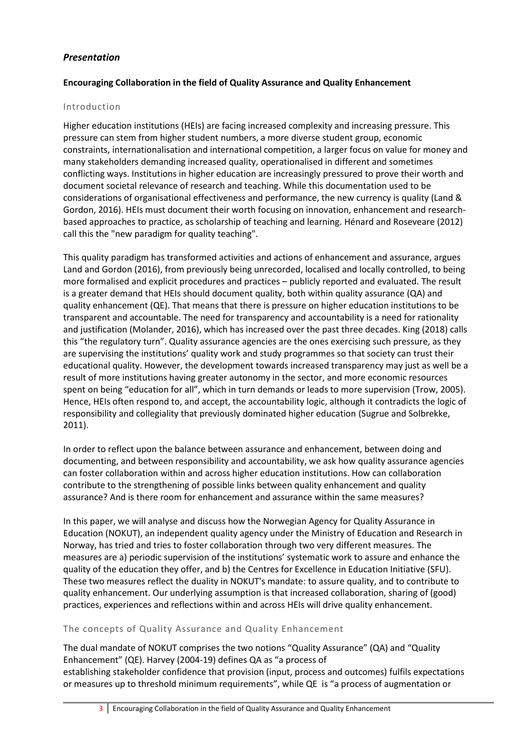## *Presentation*

## **Encouraging Collaboration in the field of Quality Assurance and Quality Enhancement**

#### Introduction

Higher education institutions (HEIs) are facing increased complexity and increasing pressure. This pressure can stem from higher student numbers, a more diverse student group, economic constraints, internationalisation and international competition, a larger focus on value for money and many stakeholders demanding increased quality, operationalised in different and sometimes conflicting ways. Institutions in higher education are increasingly pressured to prove their worth and document societal relevance of research and teaching. While this documentation used to be considerations of organisational effectiveness and performance, the new currency is quality (Land & Gordon, 2016). HEIs must document their worth focusing on innovation, enhancement and researchbased approaches to practice, as scholarship of teaching and learning. Hénard and Roseveare (2012) call this the "new paradigm for quality teaching".

This quality paradigm has transformed activities and actions of enhancement and assurance, argues Land and Gordon (2016), from previously being unrecorded, localised and locally controlled, to being more formalised and explicit procedures and practices – publicly reported and evaluated. The result is a greater demand that HEIs should document quality, both within quality assurance (QA) and quality enhancement (QE). That means that there is pressure on higher education institutions to be transparent and accountable. The need for transparency and accountability is a need for rationality and justification (Molander, 2016), which has increased over the past three decades. King (2018) calls this "the regulatory turn". Quality assurance agencies are the ones exercising such pressure, as they are supervising the institutions' quality work and study programmes so that society can trust their educational quality. However, the development towards increased transparency may just as well be a result of more institutions having greater autonomy in the sector, and more economic resources spent on being "education for all", which in turn demands or leads to more supervision (Trow, 2005). Hence, HEIs often respond to, and accept, the accountability logic, although it contradicts the logic of responsibility and collegiality that previously dominated higher education (Sugrue and Solbrekke, 2011).

In order to reflect upon the balance between assurance and enhancement, between doing and documenting, and between responsibility and accountability, we ask how quality assurance agencies can foster collaboration within and across higher education institutions. How can collaboration contribute to the strengthening of possible links between quality enhancement and quality assurance? And is there room for enhancement and assurance within the same measures?

In this paper, we will analyse and discuss how the Norwegian Agency for Quality Assurance in Education (NOKUT), an independent quality agency under the Ministry of Education and Research in Norway, has tried and tries to foster collaboration through two very different measures. The measures are a) periodic supervision of the institutions' systematic work to assure and enhance the quality of the education they offer, and b) the Centres for Excellence in Education Initiative (SFU). These two measures reflect the duality in NOKUT's mandate: to assure quality, and to contribute to quality enhancement. Our underlying assumption is that increased collaboration, sharing of (good) practices, experiences and reflections within and across HEIs will drive quality enhancement.

#### The concepts of Quality Assurance and Quality Enhancement

The dual mandate of NOKUT comprises the two notions "Quality Assurance" (QA) and "Quality Enhancement" (QE). Harvey (2004-19) defines QA as "a process of establishing [stakeholder](http://www.qualityresearchinternational.com/glossary/index.htm#stakeholder) confidence that [provision](http://www.qualityresearchinternational.com/glossary/index.htm#provision) (input, process and outcomes) fulfils expectations or measures up to threshold minimum requirements", while QE is "a process of augmentation or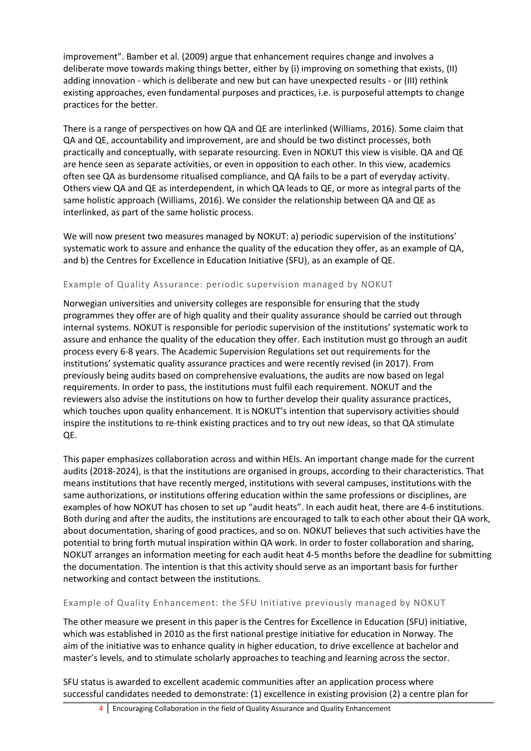improvement". Bamber et al. (2009) argue that enhancement requires change and involves a deliberate move towards making things better, either by (i) improving on something that exists, (II) adding innovation - which is deliberate and new but can have unexpected results - or (III) rethink existing approaches, even fundamental purposes and practices, i.e. is purposeful attempts to change practices for the better.

There is a range of perspectives on how QA and QE are interlinked (Williams, 2016). Some claim that QA and QE, accountability and improvement, are and should be two distinct processes, both practically and conceptually, with separate resourcing. Even in NOKUT this view is visible. QA and QE are hence seen as separate activities, or even in opposition to each other. In this view, academics often see QA as burdensome ritualised compliance, and QA fails to be a part of everyday activity. Others view QA and QE as interdependent, in which QA leads to QE, or more as integral parts of the same holistic approach (Williams, 2016). We consider the relationship between QA and QE as interlinked, as part of the same holistic process.

We will now present two measures managed by NOKUT: a) periodic supervision of the institutions' systematic work to assure and enhance the quality of the education they offer, as an example of QA, and b) the Centres for Excellence in Education Initiative (SFU), as an example of QE.

## Example of Quality Assurance: periodic supervision managed by NOKUT

Norwegian universities and university colleges are responsible for ensuring that the study programmes they offer are of high quality and their quality assurance should be carried out through internal systems. NOKUT is responsible for periodic supervision of the institutions' systematic work to assure and enhance the quality of the education they offer. Each institution must go through an audit process every 6-8 years. The Academic Supervision Regulations set out requirements for the institutions' systematic quality assurance practices and were recently revised (in 2017). From previously being audits based on comprehensive evaluations, the audits are now based on legal requirements. In order to pass, the institutions must fulfil each requirement. NOKUT and the reviewers also advise the institutions on how to further develop their quality assurance practices, which touches upon quality enhancement. It is NOKUT's intention that supervisory activities should inspire the institutions to re-think existing practices and to try out new ideas, so that QA stimulate QE.

This paper emphasizes collaboration across and within HEIs. An important change made for the current audits (2018-2024), is that the institutions are organised in groups, according to their characteristics. That means institutions that have recently merged, institutions with several campuses, institutions with the same authorizations, or institutions offering education within the same professions or disciplines, are examples of how NOKUT has chosen to set up "audit heats". In each audit heat, there are 4-6 institutions. Both during and after the audits, the institutions are encouraged to talk to each other about their QA work, about documentation, sharing of good practices, and so on. NOKUT believes that such activities have the potential to bring forth mutual inspiration within QA work. In order to foster collaboration and sharing, NOKUT arranges an information meeting for each audit heat 4-5 months before the deadline for submitting the documentation. The intention is that this activity should serve as an important basis for further networking and contact between the institutions.

## Example of Quality Enhancement: the SFU Initiative previously managed by NOKUT

The other measure we present in this paper is the Centres for Excellence in Education (SFU) initiative, which was established in 2010 as the first national prestige initiative for education in Norway. The aim of the initiative was to enhance quality in higher education, to drive excellence at bachelor and master's levels, and to stimulate scholarly approaches to teaching and learning across the sector.

SFU status is awarded to excellent academic communities after an application process where successful candidates needed to demonstrate: (1) excellence in existing provision (2) a centre plan for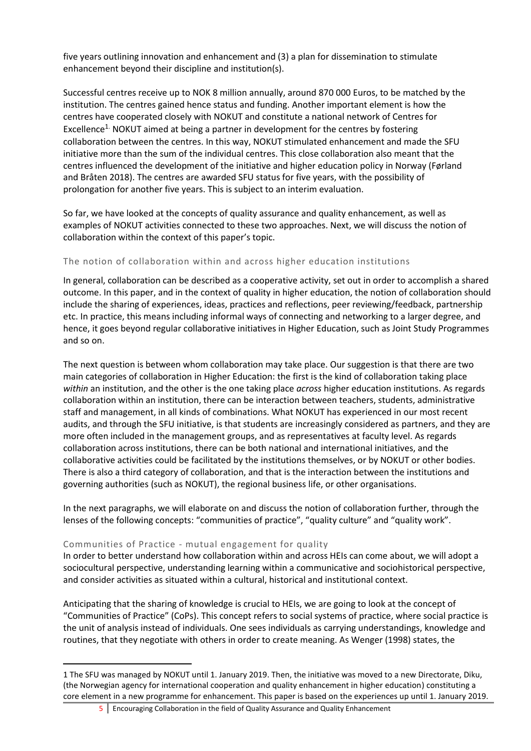five years outlining innovation and enhancement and (3) a plan for dissemination to stimulate enhancement beyond their discipline and institution(s).

Successful centres receive up to NOK 8 million annually, around 870 000 Euros, to be matched by the institution. The centres gained hence status and funding. Another important element is how the centres have cooperated closely with NOKUT and constitute a national network of Centres for Excellence<sup>1.</sup> NOKUT aimed at being a partner in development for the centres by fostering collaboration between the centres. In this way, NOKUT stimulated enhancement and made the SFU initiative more than the sum of the individual centres. This close collaboration also meant that the centres influenced the development of the initiative and higher education policy in Norway (Førland and Bråten 2018). The centres are awarded SFU status for five years, with the possibility of prolongation for another five years. This is subject to an interim evaluation.

So far, we have looked at the concepts of quality assurance and quality enhancement, as well as examples of NOKUT activities connected to these two approaches. Next, we will discuss the notion of collaboration within the context of this paper's topic.

#### The notion of collaboration within and across higher education institutions

In general, collaboration can be described as a cooperative activity, set out in order to accomplish a shared outcome. In this paper, and in the context of quality in higher education, the notion of collaboration should include the sharing of experiences, ideas, practices and reflections, peer reviewing/feedback, partnership etc. In practice, this means including informal ways of connecting and networking to a larger degree, and hence, it goes beyond regular collaborative initiatives in Higher Education, such as Joint Study Programmes and so on.

The next question is between whom collaboration may take place. Our suggestion is that there are two main categories of collaboration in Higher Education: the first is the kind of collaboration taking place *within* an institution, and the other is the one taking place *across* higher education institutions. As regards collaboration within an institution, there can be interaction between teachers, students, administrative staff and management, in all kinds of combinations. What NOKUT has experienced in our most recent audits, and through the SFU initiative, is that students are increasingly considered as partners, and they are more often included in the management groups, and as representatives at faculty level. As regards collaboration across institutions, there can be both national and international initiatives, and the collaborative activities could be facilitated by the institutions themselves, or by NOKUT or other bodies. There is also a third category of collaboration, and that is the interaction between the institutions and governing authorities (such as NOKUT), the regional business life, or other organisations.

In the next paragraphs, we will elaborate on and discuss the notion of collaboration further, through the lenses of the following concepts: "communities of practice", "quality culture" and "quality work".

#### Communities of Practice - mutual engagement for quality

 $\overline{a}$ 

In order to better understand how collaboration within and across HEIs can come about, we will adopt a sociocultural perspective, understanding learning within a communicative and sociohistorical perspective, and consider activities as situated within a cultural, historical and institutional context.

Anticipating that the sharing of knowledge is crucial to HEIs, we are going to look at the concept of "Communities of Practice" (CoPs). This concept refers to social systems of practice, where social practice is the unit of analysis instead of individuals. One sees individuals as carrying understandings, knowledge and routines, that they negotiate with others in order to create meaning. As Wenger (1998) states, the

<sup>1</sup> The SFU was managed by NOKUT until 1. January 2019. Then, the initiative was moved to a new Directorate, Diku, (the Norwegian agency for international cooperation and quality enhancement in higher education) constituting a core element in a new programme for enhancement. This paper is based on the experiences up until 1. January 2019.

<sup>5</sup> Encouraging Collaboration in the field of Quality Assurance and Quality Enhancement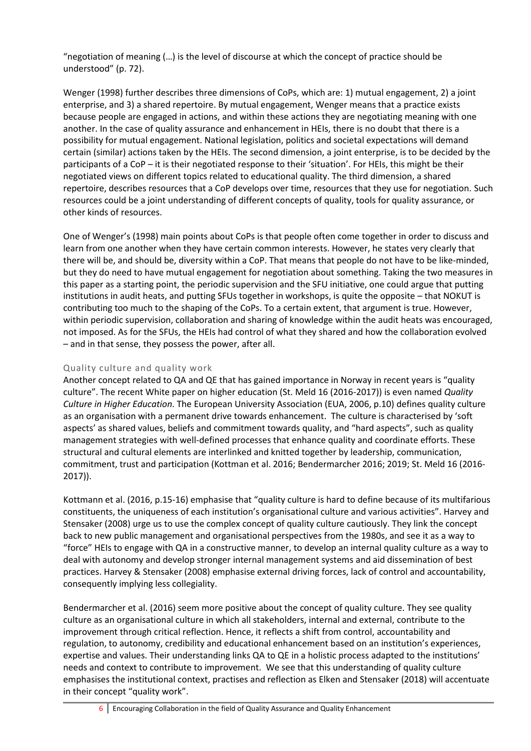"negotiation of meaning (…) is the level of discourse at which the concept of practice should be understood" (p. 72).

Wenger (1998) further describes three dimensions of CoPs, which are: 1) mutual engagement, 2) a joint enterprise, and 3) a shared repertoire. By mutual engagement, Wenger means that a practice exists because people are engaged in actions, and within these actions they are negotiating meaning with one another. In the case of quality assurance and enhancement in HEIs, there is no doubt that there is a possibility for mutual engagement. National legislation, politics and societal expectations will demand certain (similar) actions taken by the HEIs. The second dimension, a joint enterprise, is to be decided by the participants of a CoP – it is their negotiated response to their 'situation'. For HEIs, this might be their negotiated views on different topics related to educational quality. The third dimension, a shared repertoire, describes resources that a CoP develops over time, resources that they use for negotiation. Such resources could be a joint understanding of different concepts of quality, tools for quality assurance, or other kinds of resources.

One of Wenger's (1998) main points about CoPs is that people often come together in order to discuss and learn from one another when they have certain common interests. However, he states very clearly that there will be, and should be, diversity within a CoP. That means that people do not have to be like-minded, but they do need to have mutual engagement for negotiation about something. Taking the two measures in this paper as a starting point, the periodic supervision and the SFU initiative, one could argue that putting institutions in audit heats, and putting SFUs together in workshops, is quite the opposite – that NOKUT is contributing too much to the shaping of the CoPs. To a certain extent, that argument is true. However, within periodic supervision, collaboration and sharing of knowledge within the audit heats was encouraged, not imposed. As for the SFUs, the HEIs had control of what they shared and how the collaboration evolved – and in that sense, they possess the power, after all.

## Quality culture and quality work

Another concept related to QA and QE that has gained importance in Norway in recent years is "quality culture". The recent White paper on higher education (St. Meld 16 (2016-2017)) is even named *Quality Culture in Higher Education*. The European University Association (EUA, 2006, p.10) defines quality culture as an organisation with a permanent drive towards enhancement. The culture is characterised by 'soft aspects' as shared values, beliefs and commitment towards quality, and "hard aspects", such as quality management strategies with well-defined processes that enhance quality and coordinate efforts. These structural and cultural elements are interlinked and knitted together by leadership, communication, commitment, trust and participation (Kottman et al. 2016; Bendermarcher 2016; 2019; St. Meld 16 (2016- 2017)).

Kottmann et al. (2016, p.15-16) emphasise that "quality culture is hard to define because of its multifarious constituents, the uniqueness of each institution's organisational culture and various activities". Harvey and Stensaker (2008) urge us to use the complex concept of quality culture cautiously. They link the concept back to new public management and organisational perspectives from the 1980s, and see it as a way to "force" HEIs to engage with QA in a constructive manner, to develop an internal quality culture as a way to deal with autonomy and develop stronger internal management systems and aid dissemination of best practices. Harvey & Stensaker (2008) emphasise external driving forces, lack of control and accountability, consequently implying less collegiality.

Bendermarcher et al. (2016) seem more positive about the concept of quality culture. They see quality culture as an organisational culture in which all stakeholders, internal and external, contribute to the improvement through critical reflection. Hence, it reflects a shift from control, accountability and regulation, to autonomy, credibility and educational enhancement based on an institution's experiences, expertise and values. Their understanding links QA to QE in a holistic process adapted to the institutions' needs and context to contribute to improvement. We see that this understanding of quality culture emphasises the institutional context, practises and reflection as Elken and Stensaker (2018) will accentuate in their concept "quality work".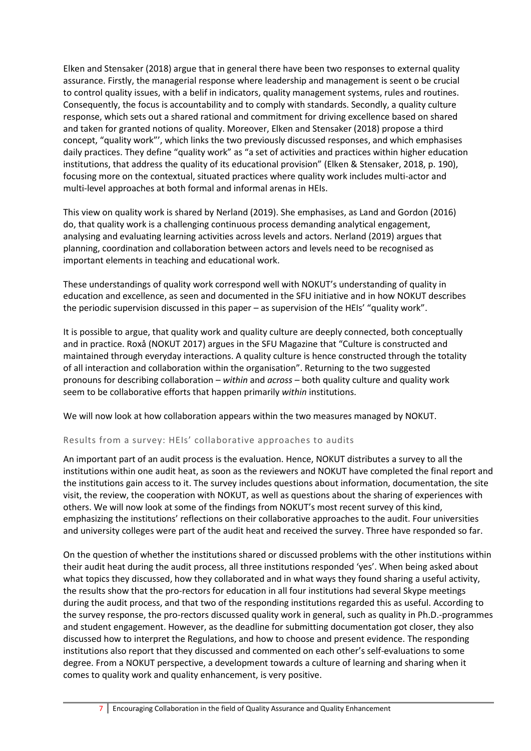Elken and Stensaker (2018) argue that in general there have been two responses to external quality assurance. Firstly, the managerial response where leadership and management is seent o be crucial to control quality issues, with a belif in indicators, quality management systems, rules and routines. Consequently, the focus is accountability and to comply with standards. Secondly, a quality culture response, which sets out a shared rational and commitment for driving excellence based on shared and taken for granted notions of quality. Moreover, Elken and Stensaker (2018) propose a third concept, "quality work"', which links the two previously discussed responses, and which emphasises daily practices. They define "quality work" as "a set of activities and practices within higher education institutions, that address the quality of its educational provision" (Elken & Stensaker, 2018, p. 190), focusing more on the contextual, situated practices where quality work includes multi-actor and multi-level approaches at both formal and informal arenas in HEIs.

This view on quality work is shared by Nerland (2019). She emphasises, as Land and Gordon (2016) do, that quality work is a challenging continuous process demanding analytical engagement, analysing and evaluating learning activities across levels and actors. Nerland (2019) argues that planning, coordination and collaboration between actors and levels need to be recognised as important elements in teaching and educational work.

These understandings of quality work correspond well with NOKUT's understanding of quality in education and excellence, as seen and documented in the SFU initiative and in how NOKUT describes the periodic supervision discussed in this paper – as supervision of the HEIs' "quality work".

It is possible to argue, that quality work and quality culture are deeply connected, both conceptually and in practice. Roxå (NOKUT 2017) argues in the SFU Magazine that "Culture is constructed and maintained through everyday interactions. A quality culture is hence constructed through the totality of all interaction and collaboration within the organisation". Returning to the two suggested pronouns for describing collaboration – *within* and *across* – both quality culture and quality work seem to be collaborative efforts that happen primarily *within* institutions.

We will now look at how collaboration appears within the two measures managed by NOKUT.

## Results from a survey: HEIs' collaborative approaches to audits

An important part of an audit process is the evaluation. Hence, NOKUT distributes a survey to all the institutions within one audit heat, as soon as the reviewers and NOKUT have completed the final report and the institutions gain access to it. The survey includes questions about information, documentation, the site visit, the review, the cooperation with NOKUT, as well as questions about the sharing of experiences with others. We will now look at some of the findings from NOKUT's most recent survey of this kind, emphasizing the institutions' reflections on their collaborative approaches to the audit. Four universities and university colleges were part of the audit heat and received the survey. Three have responded so far.

On the question of whether the institutions shared or discussed problems with the other institutions within their audit heat during the audit process, all three institutions responded 'yes'. When being asked about what topics they discussed, how they collaborated and in what ways they found sharing a useful activity, the results show that the pro-rectors for education in all four institutions had several Skype meetings during the audit process, and that two of the responding institutions regarded this as useful. According to the survey response, the pro-rectors discussed quality work in general, such as quality in Ph.D.-programmes and student engagement. However, as the deadline for submitting documentation got closer, they also discussed how to interpret the Regulations, and how to choose and present evidence. The responding institutions also report that they discussed and commented on each other's self-evaluations to some degree. From a NOKUT perspective, a development towards a culture of learning and sharing when it comes to quality work and quality enhancement, is very positive.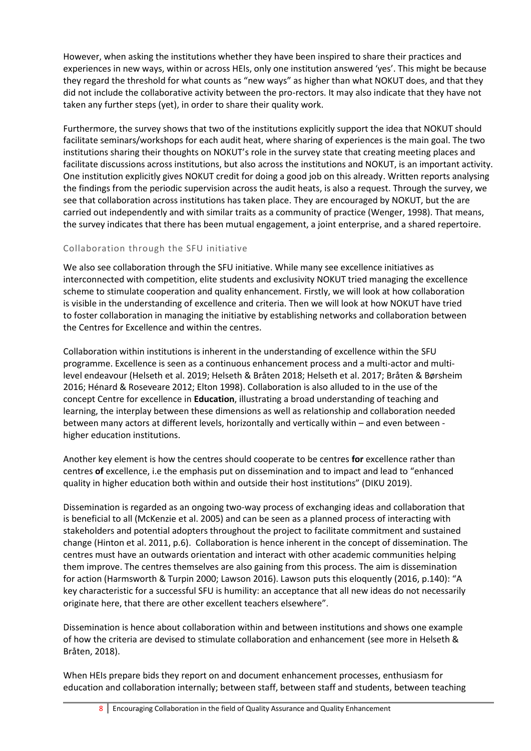However, when asking the institutions whether they have been inspired to share their practices and experiences in new ways, within or across HEIs, only one institution answered 'yes'. This might be because they regard the threshold for what counts as "new ways" as higher than what NOKUT does, and that they did not include the collaborative activity between the pro-rectors. It may also indicate that they have not taken any further steps (yet), in order to share their quality work.

Furthermore, the survey shows that two of the institutions explicitly support the idea that NOKUT should facilitate seminars/workshops for each audit heat, where sharing of experiences is the main goal. The two institutions sharing their thoughts on NOKUT's role in the survey state that creating meeting places and facilitate discussions across institutions, but also across the institutions and NOKUT, is an important activity. One institution explicitly gives NOKUT credit for doing a good job on this already. Written reports analysing the findings from the periodic supervision across the audit heats, is also a request. Through the survey, we see that collaboration across institutions has taken place. They are encouraged by NOKUT, but the are carried out independently and with similar traits as a community of practice (Wenger, 1998). That means, the survey indicates that there has been mutual engagement, a joint enterprise, and a shared repertoire.

## Collaboration through the SFU initiative

We also see collaboration through the SFU initiative. While many see excellence initiatives as interconnected with competition, elite students and exclusivity NOKUT tried managing the excellence scheme to stimulate cooperation and quality enhancement. Firstly, we will look at how collaboration is visible in the understanding of excellence and criteria. Then we will look at how NOKUT have tried to foster collaboration in managing the initiative by establishing networks and collaboration between the Centres for Excellence and within the centres.

Collaboration within institutions is inherent in the understanding of excellence within the SFU programme. Excellence is seen as a continuous enhancement process and a multi-actor and multilevel endeavour (Helseth et al. 2019; Helseth & Bråten 2018; Helseth et al. 2017; Bråten & Børsheim 2016; Hénard & Roseveare 2012; Elton 1998). Collaboration is also alluded to in the use of the concept Centre for excellence in **Education**, illustrating a broad understanding of teaching and learning, the interplay between these dimensions as well as relationship and collaboration needed between many actors at different levels, horizontally and vertically within – and even between higher education institutions.

Another key element is how the centres should cooperate to be centres **for** excellence rather than centres **of** excellence, i.e the emphasis put on dissemination and to impact and lead to "enhanced quality in higher education both within and outside their host institutions" (DIKU 2019).

Dissemination is regarded as an ongoing two-way process of exchanging ideas and collaboration that is beneficial to all (McKenzie et al. 2005) and can be seen as a planned process of interacting with stakeholders and potential adopters throughout the project to facilitate commitment and sustained change (Hinton et al. 2011, p.6). Collaboration is hence inherent in the concept of dissemination. The centres must have an outwards orientation and interact with other academic communities helping them improve. The centres themselves are also gaining from this process. The aim is dissemination for action (Harmsworth & Turpin 2000; Lawson 2016). Lawson puts this eloquently (2016, p.140): "A key characteristic for a successful SFU is humility: an acceptance that all new ideas do not necessarily originate here, that there are other excellent teachers elsewhere"*.*

Dissemination is hence about collaboration within and between institutions and shows one example of how the criteria are devised to stimulate collaboration and enhancement (see more in Helseth & Bråten, 2018).

When HEIs prepare bids they report on and document enhancement processes, enthusiasm for education and collaboration internally; between staff, between staff and students, between teaching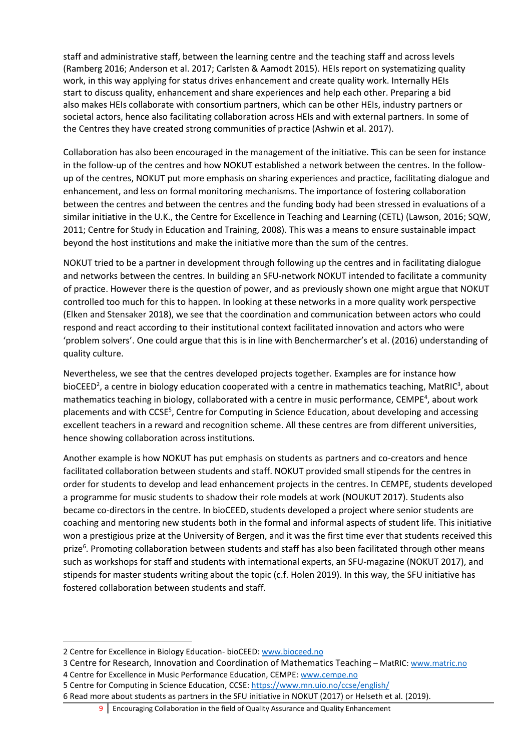staff and administrative staff, between the learning centre and the teaching staff and across levels (Ramberg 2016; Anderson et al. 2017; Carlsten & Aamodt 2015). HEIs report on systematizing quality work, in this way applying for status drives enhancement and create quality work. Internally HEIs start to discuss quality, enhancement and share experiences and help each other. Preparing a bid also makes HEIs collaborate with consortium partners, which can be other HEIs, industry partners or societal actors, hence also facilitating collaboration across HEIs and with external partners. In some of the Centres they have created strong communities of practice (Ashwin et al. 2017).

Collaboration has also been encouraged in the management of the initiative. This can be seen for instance in the follow-up of the centres and how NOKUT established a network between the centres. In the followup of the centres, NOKUT put more emphasis on sharing experiences and practice, facilitating dialogue and enhancement, and less on formal monitoring mechanisms. The importance of fostering collaboration between the centres and between the centres and the funding body had been stressed in evaluations of a similar initiative in the U.K., the Centre for Excellence in Teaching and Learning (CETL) (Lawson, 2016; SQW, 2011; Centre for Study in Education and Training, 2008). This was a means to ensure sustainable impact beyond the host institutions and make the initiative more than the sum of the centres.

NOKUT tried to be a partner in development through following up the centres and in facilitating dialogue and networks between the centres. In building an SFU-network NOKUT intended to facilitate a community of practice. However there is the question of power, and as previously shown one might argue that NOKUT controlled too much for this to happen. In looking at these networks in a more quality work perspective (Elken and Stensaker 2018), we see that the coordination and communication between actors who could respond and react according to their institutional context facilitated innovation and actors who were 'problem solvers'. One could argue that this is in line with Benchermarcher's et al. (2016) understanding of quality culture.

Nevertheless, we see that the centres developed projects together. Examples are for instance how bioCEED<sup>2</sup>, a centre in biology education cooperated with a centre in mathematics teaching, MatRIC<sup>3</sup>, about mathematics teaching in biology, collaborated with a centre in music performance, CEMPE<sup>4</sup>, about work placements and with CCSE<sup>5</sup>, Centre for Computing in Science Education, about developing and accessing excellent teachers in a reward and recognition scheme. All these centres are from different universities, hence showing collaboration across institutions.

Another example is how NOKUT has put emphasis on students as partners and co-creators and hence facilitated collaboration between students and staff. NOKUT provided small stipends for the centres in order for students to develop and lead enhancement projects in the centres. In CEMPE, students developed a programme for music students to shadow their role models at work (NOUKUT 2017). Students also became co-directors in the centre. In bioCEED, students developed a project where senior students are coaching and mentoring new students both in the formal and informal aspects of student life. This initiative won a prestigious prize at the University of Bergen, and it was the first time ever that students received this prize<sup>6</sup>. Promoting collaboration between students and staff has also been facilitated through other means such as workshops for staff and students with international experts, an SFU-magazine (NOKUT 2017), and stipends for master students writing about the topic (c.f. Holen 2019). In this way, the SFU initiative has fostered collaboration between students and staff.

 $\overline{a}$ 

<sup>2</sup> Centre for Excellence in Biology Education- bioCEED: [www.bioceed.no](http://www.bioceed.no/)

<sup>3</sup> Centre for Research, Innovation and Coordination of Mathematics Teaching – MatRIC[: www.matric.no](http://www.matric.no/) 4 Centre for Excellence in Music Performance Education, CEMPE: [www.cempe.no](http://www.cempe.no/)

<sup>5</sup> Centre for Computing in Science Education, CCSE:<https://www.mn.uio.no/ccse/english/>

<sup>6</sup> Read more about students as partners in the SFU initiative in NOKUT (2017) or Helseth et al. (2019).

<sup>9</sup> Encouraging Collaboration in the field of Quality Assurance and Quality Enhancement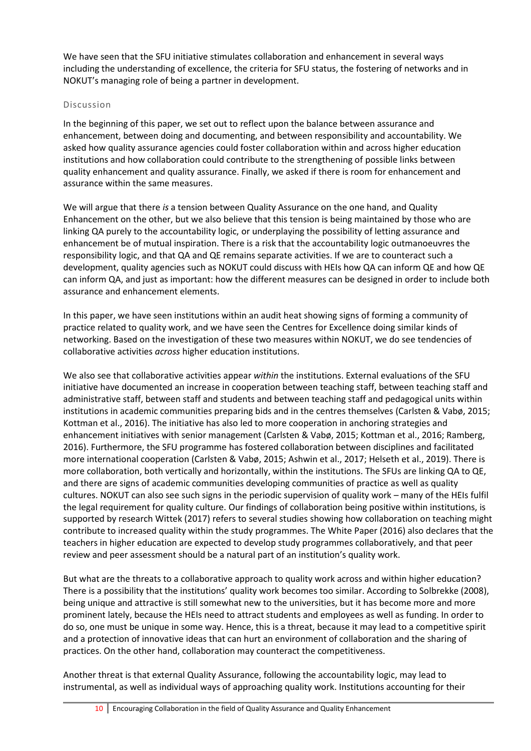We have seen that the SFU initiative stimulates collaboration and enhancement in several ways including the understanding of excellence, the criteria for SFU status, the fostering of networks and in NOKUT's managing role of being a partner in development.

#### Discussion

In the beginning of this paper, we set out to reflect upon the balance between assurance and enhancement, between doing and documenting, and between responsibility and accountability. We asked how quality assurance agencies could foster collaboration within and across higher education institutions and how collaboration could contribute to the strengthening of possible links between quality enhancement and quality assurance. Finally, we asked if there is room for enhancement and assurance within the same measures.

We will argue that there *is* a tension between Quality Assurance on the one hand, and Quality Enhancement on the other, but we also believe that this tension is being maintained by those who are linking QA purely to the accountability logic, or underplaying the possibility of letting assurance and enhancement be of mutual inspiration. There is a risk that the accountability logic outmanoeuvres the responsibility logic, and that QA and QE remains separate activities. If we are to counteract such a development, quality agencies such as NOKUT could discuss with HEIs how QA can inform QE and how QE can inform QA, and just as important: how the different measures can be designed in order to include both assurance and enhancement elements.

In this paper, we have seen institutions within an audit heat showing signs of forming a community of practice related to quality work, and we have seen the Centres for Excellence doing similar kinds of networking. Based on the investigation of these two measures within NOKUT, we do see tendencies of collaborative activities *across* higher education institutions.

We also see that collaborative activities appear *within* the institutions. External evaluations of the SFU initiative have documented an increase in cooperation between teaching staff, between teaching staff and administrative staff, between staff and students and between teaching staff and pedagogical units within institutions in academic communities preparing bids and in the centres themselves (Carlsten & Vabø, 2015; Kottman et al., 2016). The initiative has also led to more cooperation in anchoring strategies and enhancement initiatives with senior management (Carlsten & Vabø, 2015; Kottman et al., 2016; Ramberg, 2016). Furthermore, the SFU programme has fostered collaboration between disciplines and facilitated more international cooperation (Carlsten & Vabø, 2015; Ashwin et al., 2017; Helseth et al., 2019). There is more collaboration, both vertically and horizontally, within the institutions. The SFUs are linking QA to QE, and there are signs of academic communities developing communities of practice as well as quality cultures. NOKUT can also see such signs in the periodic supervision of quality work – many of the HEIs fulfil the legal requirement for quality culture. Our findings of collaboration being positive within institutions, is supported by research Wittek (2017) refers to several studies showing how collaboration on teaching might contribute to increased quality within the study programmes. The White Paper (2016) also declares that the teachers in higher education are expected to develop study programmes collaboratively, and that peer review and peer assessment should be a natural part of an institution's quality work.

But what are the threats to a collaborative approach to quality work across and within higher education? There is a possibility that the institutions' quality work becomes too similar. According to Solbrekke (2008), being unique and attractive is still somewhat new to the universities, but it has become more and more prominent lately, because the HEIs need to attract students and employees as well as funding. In order to do so, one must be unique in some way. Hence, this is a threat, because it may lead to a competitive spirit and a protection of innovative ideas that can hurt an environment of collaboration and the sharing of practices. On the other hand, collaboration may counteract the competitiveness.

Another threat is that external Quality Assurance, following the accountability logic, may lead to instrumental, as well as individual ways of approaching quality work. Institutions accounting for their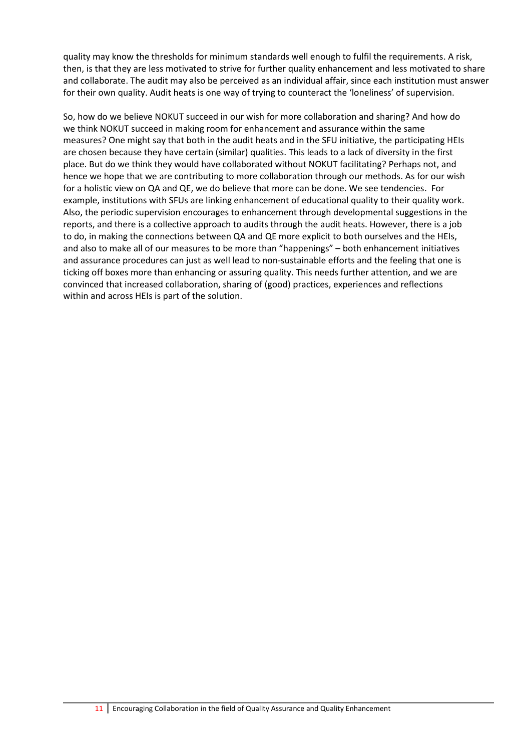quality may know the thresholds for minimum standards well enough to fulfil the requirements. A risk, then, is that they are less motivated to strive for further quality enhancement and less motivated to share and collaborate. The audit may also be perceived as an individual affair, since each institution must answer for their own quality. Audit heats is one way of trying to counteract the 'loneliness' of supervision.

So, how do we believe NOKUT succeed in our wish for more collaboration and sharing? And how do we think NOKUT succeed in making room for enhancement and assurance within the same measures? One might say that both in the audit heats and in the SFU initiative, the participating HEIs are chosen because they have certain (similar) qualities. This leads to a lack of diversity in the first place. But do we think they would have collaborated without NOKUT facilitating? Perhaps not, and hence we hope that we are contributing to more collaboration through our methods. As for our wish for a holistic view on QA and QE, we do believe that more can be done. We see tendencies. For example, institutions with SFUs are linking enhancement of educational quality to their quality work. Also, the periodic supervision encourages to enhancement through developmental suggestions in the reports, and there is a collective approach to audits through the audit heats. However, there is a job to do, in making the connections between QA and QE more explicit to both ourselves and the HEIs, and also to make all of our measures to be more than "happenings" – both enhancement initiatives and assurance procedures can just as well lead to non-sustainable efforts and the feeling that one is ticking off boxes more than enhancing or assuring quality. This needs further attention, and we are convinced that increased collaboration, sharing of (good) practices, experiences and reflections within and across HEIs is part of the solution.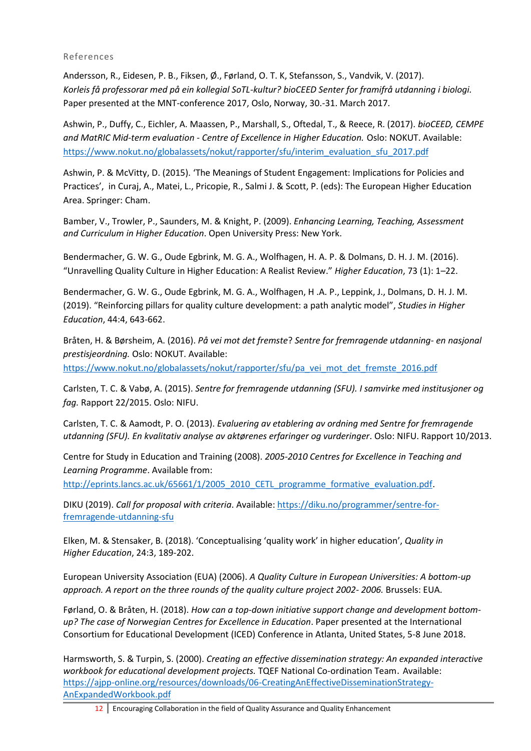References

Andersson, R., Eidesen, P. B., Fiksen, Ø., Førland, O. T. K, Stefansson, S., Vandvik, V. (2017). *Korleis få professorar med på ein kollegial SoTL-kultur? bioCEED Senter for framifrå utdanning i biologi.* Paper presented at the MNT-conference 2017, Oslo, Norway, 30.-31. March 2017.

Ashwin, P., Duffy, C., Eichler, A. Maassen, P., Marshall, S., Oftedal, T., & Reece, R. (2017). *bioCEED, CEMPE and MatRIC Mid-term evaluation - Centre of Excellence in Higher Education.* Oslo: NOKUT. Available: [https://www.nokut.no/globalassets/nokut/rapporter/sfu/interim\\_evaluation\\_sfu\\_2017.pdf](https://www.nokut.no/globalassets/nokut/rapporter/sfu/interim_evaluation_sfu_2017.pdf)

Ashwin, P. & McVitty, D. (2015). 'The Meanings of Student Engagement: Implications for Policies and Practices', in Curaj, A., Matei, L., Pricopie, R., Salmi J. & Scott, P. (eds): The European Higher Education Area. Springer: Cham.

Bamber, V., Trowler, P., Saunders, M. & Knight, P. (2009). *Enhancing Learning, Teaching, Assessment and Curriculum in Higher Education*. Open University Press: New York.

Bendermacher, G. W. G., Oude Egbrink, M. G. A., Wolfhagen, H. A. P. & Dolmans, D. H. J. M. (2016). "Unravelling Quality Culture in Higher Education: A Realist Review." *Higher Education*, 73 (1): 1–22.

Bendermacher, G. W. G., Oude Egbrink, M. G. A., Wolfhagen, H .A. P., Leppink, J., Dolmans, D. H. J. M. (2019). "Reinforcing pillars for quality culture development: a path analytic model", *Studies in Higher Education*, 44:4, 643-662.

Bråten, H. & Børsheim, A. (2016). *På vei mot det fremste*? *Sentre for fremragende utdanning- en nasjonal prestisjeordning.* Oslo: NOKUT. Available: [https://www.nokut.no/globalassets/nokut/rapporter/sfu/pa\\_vei\\_mot\\_det\\_fremste\\_2016.pdf](https://www.nokut.no/globalassets/nokut/rapporter/sfu/pa_vei_mot_det_fremste_2016.pdf)

Carlsten, T. C. & Vabø, A. (2015). *Sentre for fremragende utdanning (SFU). I samvirke med institusjoner og fag.* Rapport 22/2015. Oslo: NIFU.

Carlsten, T. C. & Aamodt, P. O. (2013). *Evaluering av etablering av ordning med Sentre for fremragende utdanning (SFU). En kvalitativ analyse av aktørenes erfaringer og vurderinger*. Oslo: NIFU. Rapport 10/2013.

Centre for Study in Education and Training (2008). *2005-2010 Centres for Excellence in Teaching and Learning Programme*. Available from:

[http://eprints.lancs.ac.uk/65661/1/2005\\_2010\\_CETL\\_programme\\_formative\\_evaluation.pdf.](http://eprints.lancs.ac.uk/65661/1/2005_2010_CETL_programme_formative_evaluation.pdf)

DIKU (2019). *Call for proposal with criteria*. Available: [https://diku.no/programmer/sentre-for](https://diku.no/programmer/sentre-for-fremragende-utdanning-sfu)[fremragende-utdanning-sfu](https://diku.no/programmer/sentre-for-fremragende-utdanning-sfu) 

Elken, M. & Stensaker, B. (2018). 'Conceptualising 'quality work' in higher education', *Quality in Higher Education*, 24:3, 189-202.

European University Association (EUA) (2006). *A Quality Culture in European Universities: A bottom-up approach. A report on the three rounds of the quality culture project 2002- 2006.* Brussels: EUA.

Førland, O. & Bråten, H. (2018). *How can a top-down initiative support change and development bottomup? The case of Norwegian Centres for Excellence in Education*. Paper presented at the International Consortium for Educational Development (ICED) Conference in Atlanta, United States, 5-8 June 2018.

Harmsworth, S. & Turpin, S. (2000). *Creating an effective dissemination strategy: An expanded interactive workbook for educational development projects.* TQEF National Co-ordination Team. Available: [https://ajpp-online.org/resources/downloads/06-CreatingAnEffectiveDisseminationStrategy-](https://ajpp-online.org/resources/downloads/06-CreatingAnEffectiveDisseminationStrategy-AnExpandedWorkbook.pdf)[AnExpandedWorkbook.pdf](https://ajpp-online.org/resources/downloads/06-CreatingAnEffectiveDisseminationStrategy-AnExpandedWorkbook.pdf)

<sup>12</sup> Encouraging Collaboration in the field of Quality Assurance and Quality Enhancement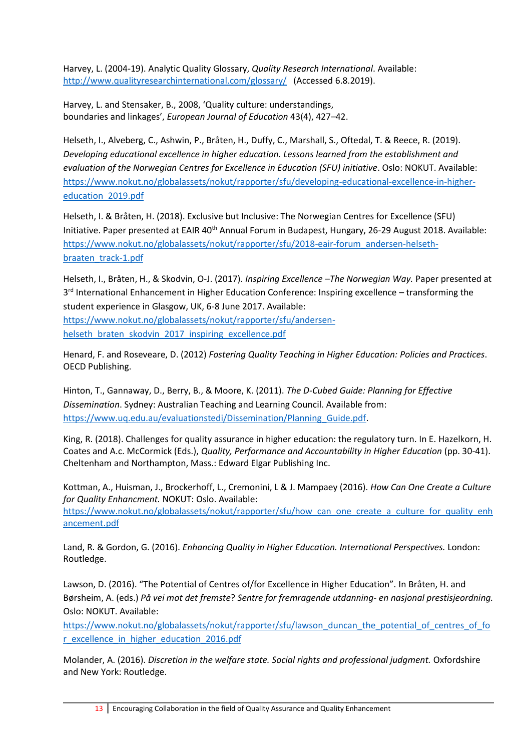Harvey, L. (2004-19). Analytic Quality Glossary, *Quality Research International*. Available: <http://www.qualityresearchinternational.com/glossary/>(Accessed 6.8.2019).

Harvey, L. and Stensaker, B., 2008, 'Quality culture: understandings, boundaries and linkages', *European Journal of Education* 43(4), 427–42.

Helseth, I., Alveberg, C., Ashwin, P., Bråten, H., Duffy, C., Marshall, S., Oftedal, T. & Reece, R. (2019). *Developing educational excellence in higher education. Lessons learned from the establishment and evaluation of the Norwegian Centres for Excellence in Education (SFU) initiative*. Oslo: NOKUT. Available: [https://www.nokut.no/globalassets/nokut/rapporter/sfu/developing-educational-excellence-in-higher](https://www.nokut.no/globalassets/nokut/rapporter/sfu/developing-educational-excellence-in-higher-education_2019.pdf)[education\\_2019.pdf](https://www.nokut.no/globalassets/nokut/rapporter/sfu/developing-educational-excellence-in-higher-education_2019.pdf)

Helseth, I. & Bråten, H. (2018). Exclusive but Inclusive: The Norwegian Centres for Excellence (SFU) Initiative. Paper presented at EAIR 40<sup>th</sup> Annual Forum in Budapest, Hungary, 26-29 August 2018. Available: [https://www.nokut.no/globalassets/nokut/rapporter/sfu/2018-eair-forum\\_andersen-helseth](https://www.nokut.no/globalassets/nokut/rapporter/sfu/2018-eair-forum_andersen-helseth-braaten_track-1.pdf)[braaten\\_track-1.pdf](https://www.nokut.no/globalassets/nokut/rapporter/sfu/2018-eair-forum_andersen-helseth-braaten_track-1.pdf)

Helseth, I., Bråten, H., & Skodvin, O-J. (2017). *Inspiring Excellence –The Norwegian Way.* Paper presented at 3<sup>rd</sup> International Enhancement in Higher Education Conference: Inspiring excellence – transforming the student experience in Glasgow, UK, 6-8 June 2017. Available:

[https://www.nokut.no/globalassets/nokut/rapporter/sfu/andersen](https://www.nokut.no/globalassets/nokut/rapporter/sfu/andersen-helseth_braten_skodvin_2017_inspiring_excellence.pdf)helseth braten skodvin 2017 inspiring excellence.pdf

Henard, F. and Roseveare, D. (2012) *Fostering Quality Teaching in Higher Education: Policies and Practices*. OECD Publishing.

Hinton, T., Gannaway, D., Berry, B., & Moore, K. (2011). *The D-Cubed Guide: Planning for Effective Dissemination*. Sydney: Australian Teaching and Learning Council. Available from: https://www.uq.edu.au/evaluationstedi/Dissemination/Planning Guide.pdf.

King, R. (2018). Challenges for quality assurance in higher education: the regulatory turn. In E. Hazelkorn, H. Coates and A.c. McCormick (Eds.), *Quality, Performance and Accountability in Higher Education* (pp. 30-41). Cheltenham and Northampton, Mass.: Edward Elgar Publishing Inc.

Kottman, A., Huisman, J., Brockerhoff, L., Cremonini, L & J. Mampaey (2016). *How Can One Create a Culture for Quality Enhancment.* NOKUT: Oslo. Available:

https://www.nokut.no/globalassets/nokut/rapporter/sfu/how can one create a culture for quality enh [ancement.pdf](https://www.nokut.no/globalassets/nokut/rapporter/sfu/how_can_one_create_a_culture_for_quality_enhancement.pdf)

Land, R. & Gordon, G. (2016). *Enhancing Quality in Higher Education. International Perspectives.* London: Routledge.

Lawson, D. (2016). "The Potential of Centres of/for Excellence in Higher Education". In Bråten, H. and Børsheim, A. (eds.) *På vei mot det fremste*? *Sentre for fremragende utdanning- en nasjonal prestisjeordning.* Oslo: NOKUT. Available:

[https://www.nokut.no/globalassets/nokut/rapporter/sfu/lawson\\_duncan\\_the\\_potential\\_of\\_centres\\_of\\_fo](https://www.nokut.no/globalassets/nokut/rapporter/sfu/lawson_duncan_the_potential_of_centres_of_for_excellence_in_higher_education_2016.pdf) [r\\_excellence\\_in\\_higher\\_education\\_2016.pdf](https://www.nokut.no/globalassets/nokut/rapporter/sfu/lawson_duncan_the_potential_of_centres_of_for_excellence_in_higher_education_2016.pdf)

Molander, A. (2016). *Discretion in the welfare state. Social rights and professional judgment.* Oxfordshire and New York: Routledge.